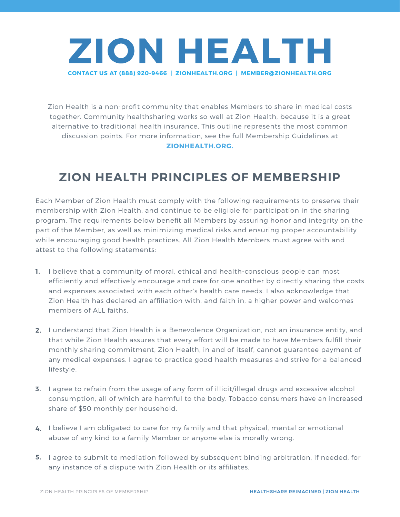

Zion Health is a non-profit community that enables Members to share in medical costs together. Community healthsharing works so well at Zion Health, because it is a great alternative to traditional health insurance. This outline represents the most common discussion points. For more information, see the full Membership Guidelines at **ZIONHEALTH.ORG.**

## **ZION HEALTH PRINCIPLES OF MEMBERSHIP**

Each Member of Zion Health must comply with the following requirements to preserve their membership with Zion Health, and continue to be eligible for participation in the sharing program. The requirements below benefit all Members by assuring honor and integrity on the part of the Member, as well as minimizing medical risks and ensuring proper accountability while encouraging good health practices. All Zion Health Members must agree with and attest to the following statements:

- **1.** I believe that a community of moral, ethical and health-conscious people can most efficiently and effectively encourage and care for one another by directly sharing the costs and expenses associated with each other's health care needs. I also acknowledge that Zion Health has declared an affiliation with, and faith in, a higher power and welcomes members of ALL faiths.
- **2.** I understand that Zion Health is a Benevolence Organization, not an insurance entity, and that while Zion Health assures that every effort will be made to have Members fulfill their monthly sharing commitment, Zion Health, in and of itself, cannot guarantee payment of any medical expenses. I agree to practice good health measures and strive for a balanced lifestyle.
- **3.** I agree to refrain from the usage of any form of illicit/illegal drugs and excessive alcohol consumption, all of which are harmful to the body. Tobacco consumers have an increased share of \$50 monthly per household.
- **4.** I believe I am obligated to care for my family and that physical, mental or emotional abuse of any kind to a family Member or anyone else is morally wrong.
- **5.** I agree to submit to mediation followed by subsequent binding arbitration, if needed, for any instance of a dispute with Zion Health or its affiliates.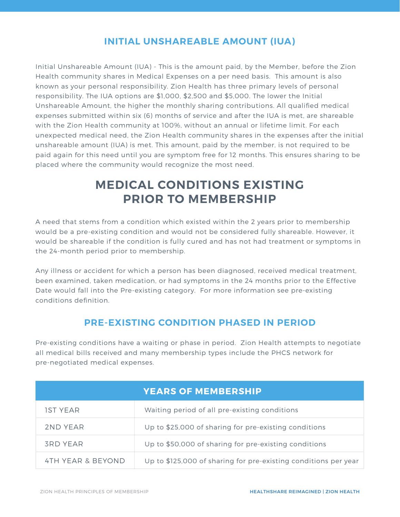## **INITIAL UNSHAREABLE AMOUNT (IUA)**

Initial Unshareable Amount (IUA) - This is the amount paid, by the Member, before the Zion Health community shares in Medical Expenses on a per need basis. This amount is also known as your personal responsibility. Zion Health has three primary levels of personal responsibility. The IUA options are \$1,000, \$2,500 and \$5,000. The lower the Initial Unshareable Amount, the higher the monthly sharing contributions. All qualified medical expenses submitted within six (6) months of service and after the IUA is met, are shareable with the Zion Health community at 100%, without an annual or lifetime limit. For each unexpected medical need, the Zion Health community shares in the expenses after the initial unshareable amount (IUA) is met. This amount, paid by the member, is not required to be paid again for this need until you are symptom free for 12 months. This ensures sharing to be placed where the community would recognize the most need.

## **MEDICAL CONDITIONS EXISTING PRIOR TO MEMBERSHIP**

A need that stems from a condition which existed within the 2 years prior to membership would be a pre-existing condition and would not be considered fully shareable. However, it would be shareable if the condition is fully cured and has not had treatment or symptoms in the 24-month period prior to membership.

Any illness or accident for which a person has been diagnosed, received medical treatment, been examined, taken medication, or had symptoms in the 24 months prior to the Effective Date would fall into the Pre-existing category. For more information see pre-existing conditions definition.

## **PRE-EXISTING CONDITION PHASED IN PERIOD**

Pre-existing conditions have a waiting or phase in period. Zion Health attempts to negotiate all medical bills received and many membership types include the PHCS network for pre-negotiated medical expenses.

|                   | <b>YEARS OF MEMBERSHIP</b>                                      |
|-------------------|-----------------------------------------------------------------|
| <b>IST YEAR</b>   | Waiting period of all pre-existing conditions                   |
| 2ND YEAR          | Up to \$25,000 of sharing for pre-existing conditions           |
| <b>3RD YEAR</b>   | Up to \$50,000 of sharing for pre-existing conditions           |
| 4TH YEAR & BEYOND | Up to \$125,000 of sharing for pre-existing conditions per year |